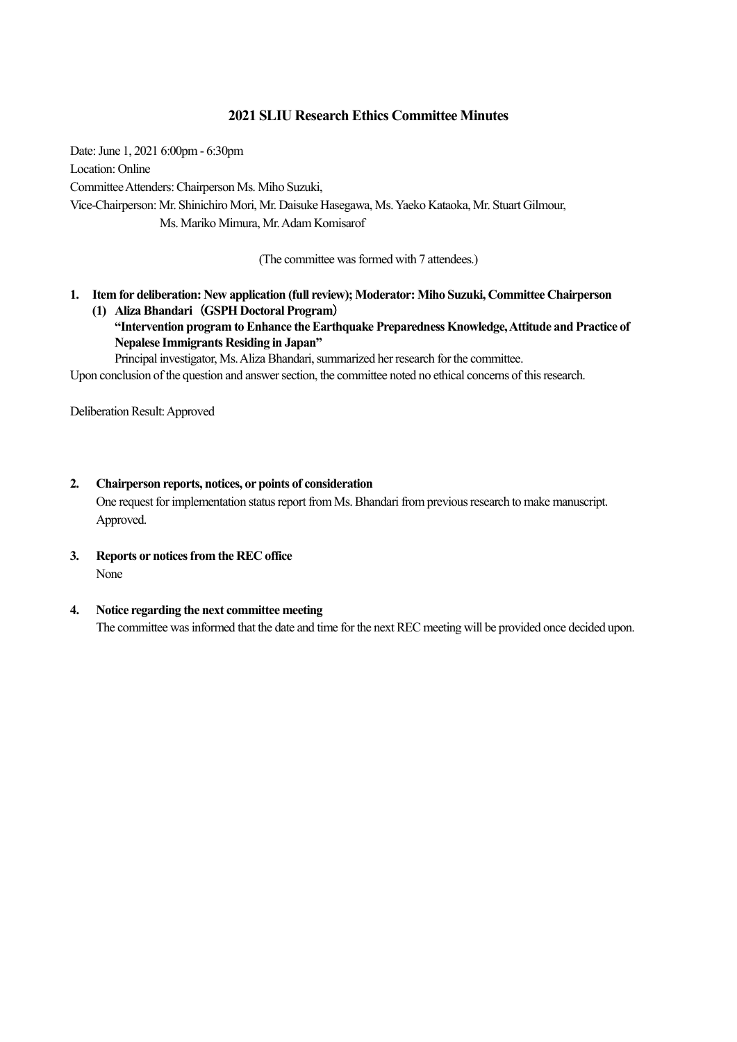### **2021 SLIU Research Ethics Committee Minutes**

Date: June 1, 2021 6:00pm - 6:30pm Location: Online Committee Attenders: Chairperson Ms. Miho Suzuki, Vice-Chairperson: Mr. Shinichiro Mori, Mr. Daisuke Hasegawa, Ms. Yaeko Kataoka, Mr. Stuart Gilmour, Ms. Mariko Mimura, Mr. Adam Komisarof

(The committee was formed with 7 attendees.)

- **1. Item for deliberation: New application (full review); Moderator: Miho Suzuki, Committee Chairperson (1) Aliza Bhandari**(**GSPH Doctoral Program**)
	- **"Intervention program to Enhance the Earthquake Preparedness Knowledge, Attitude and Practice of Nepalese Immigrants Residing in Japan"**

Principal investigator, Ms. Aliza Bhandari, summarized her research for the committee.

Upon conclusion of the question and answer section, the committee noted no ethical concerns of this research.

Deliberation Result: Approved

### **2. Chairperson reports, notices, or points of consideration**

One request for implementation status report from Ms. Bhandari from previous research to make manuscript. Approved.

**3. Reports or notices from the REC office** None

### **4. Notice regarding the next committee meeting**

The committee was informed that the date and time for the next REC meeting will be provided once decided upon.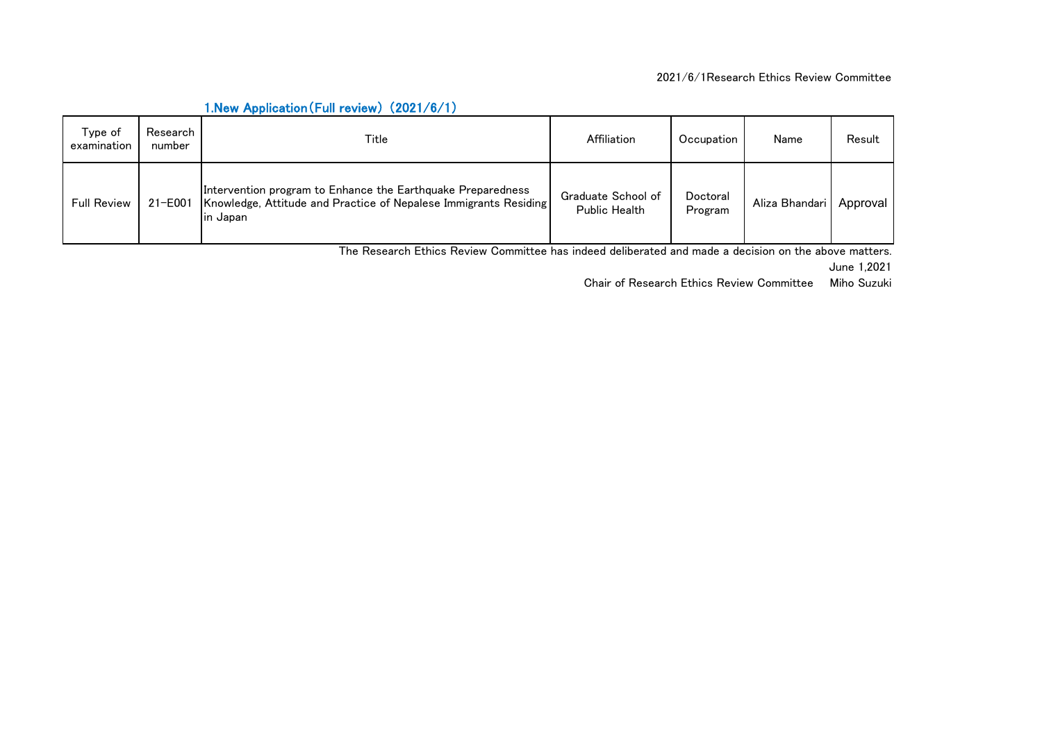| Type of<br>examination | Research<br>number | Title                                                                                                                                        | Affiliation                                | Occupation          | Name           | Result   |
|------------------------|--------------------|----------------------------------------------------------------------------------------------------------------------------------------------|--------------------------------------------|---------------------|----------------|----------|
| Full Review            | 21-E001            | Intervention program to Enhance the Earthquake Preparedness<br>Knowledge, Attitude and Practice of Nepalese Immigrants Residing<br>lin Japan | Graduate School of<br><b>Public Health</b> | Doctoral<br>Program | Aliza Bhandari | Approval |

## 1.New Application(Full review) (2021/6/1)

The Research Ethics Review Committee has indeed deliberated and made a decision on the above matters.

June 1,2021

Chair of Research Ethics Review Committee Miho Suzuki